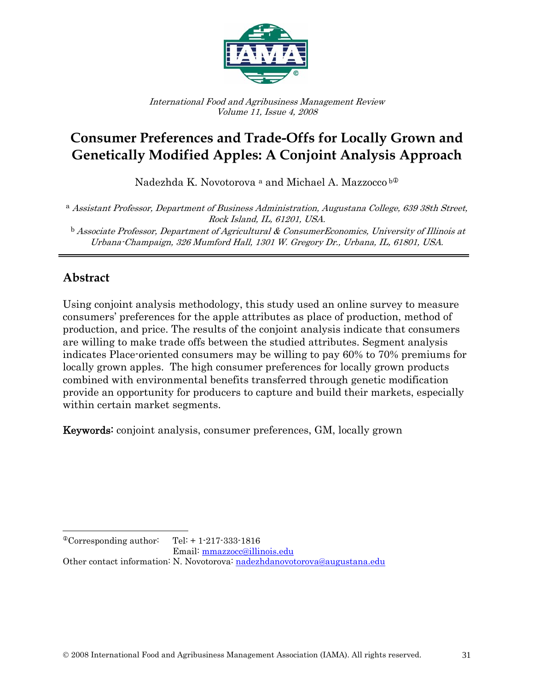

International Food and Agribusiness Management Review Volume 11, Issue 4, 2008

# **Consumer Preferences and Trade-Offs for Locally Grown and Genetically Modified Apples: A Conjoint Analysis Approach**

Nadezhda K. Novotorova <sup>a</sup> and Michael A. Mazzocco b<sup>o</sup>

<sup>a</sup> Assistant Professor, Department of Business Administration, Augustana College, 639 38th Street, Rock Island, IL, 61201, USA.

 $<sup>b</sup>$  Associate Professor, Department of Agricultural & ConsumerEconomics, University of Illinois at</sup> Urbana-Champaign, 326 Mumford Hall, 1301 W. Gregory Dr., Urbana, IL, 61801, USA.

## **Abstract**

Using conjoint analysis methodology, this study used an online survey to measure consumers' preferences for the apple attributes as place of production, method of production, and price. The results of the conjoint analysis indicate that consumers are willing to make trade offs between the studied attributes. Segment analysis indicates Place-oriented consumers may be willing to pay 60% to 70% premiums for locally grown apples. The high consumer preferences for locally grown products combined with environmental benefits transferred through genetic modification provide an opportunity for producers to capture and build their markets, especially within certain market segments.

Keywords: conjoint analysis, consumer preferences, GM, locally grown

Email: mmazzocc@illinois.edu

Other contact information: N. Novotorova: nadezhdanovotorova@augustana.edu

 $\overline{a}$  $^{\circ}$ Corresponding author: Tel: + 1-217-333-1816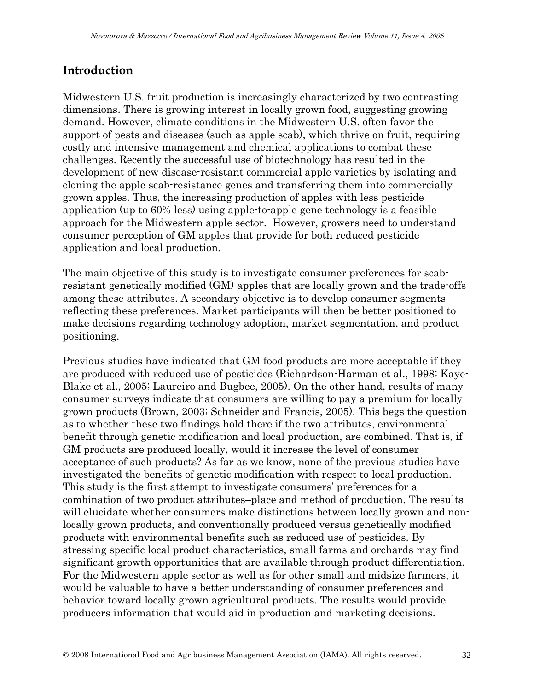### **Introduction**

Midwestern U.S. fruit production is increasingly characterized by two contrasting dimensions. There is growing interest in locally grown food, suggesting growing demand. However, climate conditions in the Midwestern U.S. often favor the support of pests and diseases (such as apple scab), which thrive on fruit, requiring costly and intensive management and chemical applications to combat these challenges. Recently the successful use of biotechnology has resulted in the development of new disease-resistant commercial apple varieties by isolating and cloning the apple scab-resistance genes and transferring them into commercially grown apples. Thus, the increasing production of apples with less pesticide application (up to 60% less) using apple-to-apple gene technology is a feasible approach for the Midwestern apple sector. However, growers need to understand consumer perception of GM apples that provide for both reduced pesticide application and local production.

The main objective of this study is to investigate consumer preferences for scabresistant genetically modified (GM) apples that are locally grown and the trade-offs among these attributes. A secondary objective is to develop consumer segments reflecting these preferences. Market participants will then be better positioned to make decisions regarding technology adoption, market segmentation, and product positioning.

Previous studies have indicated that GM food products are more acceptable if they are produced with reduced use of pesticides (Richardson-Harman et al., 1998; Kaye-Blake et al., 2005; Laureiro and Bugbee, 2005). On the other hand, results of many consumer surveys indicate that consumers are willing to pay a premium for locally grown products (Brown, 2003; Schneider and Francis, 2005). This begs the question as to whether these two findings hold there if the two attributes, environmental benefit through genetic modification and local production, are combined. That is, if GM products are produced locally, would it increase the level of consumer acceptance of such products? As far as we know, none of the previous studies have investigated the benefits of genetic modification with respect to local production. This study is the first attempt to investigate consumers' preferences for a combination of two product attributes–place and method of production. The results will elucidate whether consumers make distinctions between locally grown and nonlocally grown products, and conventionally produced versus genetically modified products with environmental benefits such as reduced use of pesticides. By stressing specific local product characteristics, small farms and orchards may find significant growth opportunities that are available through product differentiation. For the Midwestern apple sector as well as for other small and midsize farmers, it would be valuable to have a better understanding of consumer preferences and behavior toward locally grown agricultural products. The results would provide producers information that would aid in production and marketing decisions.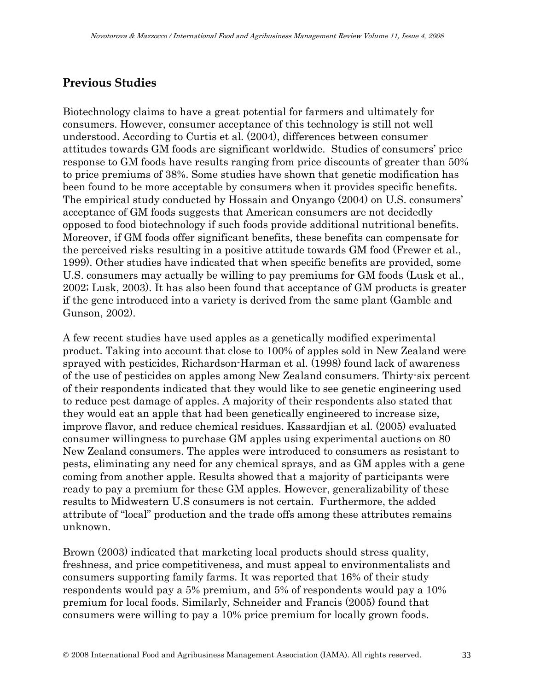### **Previous Studies**

Biotechnology claims to have a great potential for farmers and ultimately for consumers. However, consumer acceptance of this technology is still not well understood. According to Curtis et al. (2004), differences between consumer attitudes towards GM foods are significant worldwide. Studies of consumers' price response to GM foods have results ranging from price discounts of greater than 50% to price premiums of 38%. Some studies have shown that genetic modification has been found to be more acceptable by consumers when it provides specific benefits. The empirical study conducted by Hossain and Onyango (2004) on U.S. consumers' acceptance of GM foods suggests that American consumers are not decidedly opposed to food biotechnology if such foods provide additional nutritional benefits. Moreover, if GM foods offer significant benefits, these benefits can compensate for the perceived risks resulting in a positive attitude towards GM food (Frewer et al., 1999). Other studies have indicated that when specific benefits are provided, some U.S. consumers may actually be willing to pay premiums for GM foods (Lusk et al., 2002; Lusk, 2003). It has also been found that acceptance of GM products is greater if the gene introduced into a variety is derived from the same plant (Gamble and Gunson, 2002).

A few recent studies have used apples as a genetically modified experimental product. Taking into account that close to 100% of apples sold in New Zealand were sprayed with pesticides, Richardson-Harman et al. (1998) found lack of awareness of the use of pesticides on apples among New Zealand consumers. Thirty-six percent of their respondents indicated that they would like to see genetic engineering used to reduce pest damage of apples. A majority of their respondents also stated that they would eat an apple that had been genetically engineered to increase size, improve flavor, and reduce chemical residues. Kassardjian et al. (2005) evaluated consumer willingness to purchase GM apples using experimental auctions on 80 New Zealand consumers. The apples were introduced to consumers as resistant to pests, eliminating any need for any chemical sprays, and as GM apples with a gene coming from another apple. Results showed that a majority of participants were ready to pay a premium for these GM apples. However, generalizability of these results to Midwestern U.S consumers is not certain. Furthermore, the added attribute of "local" production and the trade offs among these attributes remains unknown.

Brown (2003) indicated that marketing local products should stress quality, freshness, and price competitiveness, and must appeal to environmentalists and consumers supporting family farms. It was reported that 16% of their study respondents would pay a 5% premium, and 5% of respondents would pay a 10% premium for local foods. Similarly, Schneider and Francis (2005) found that consumers were willing to pay a 10% price premium for locally grown foods.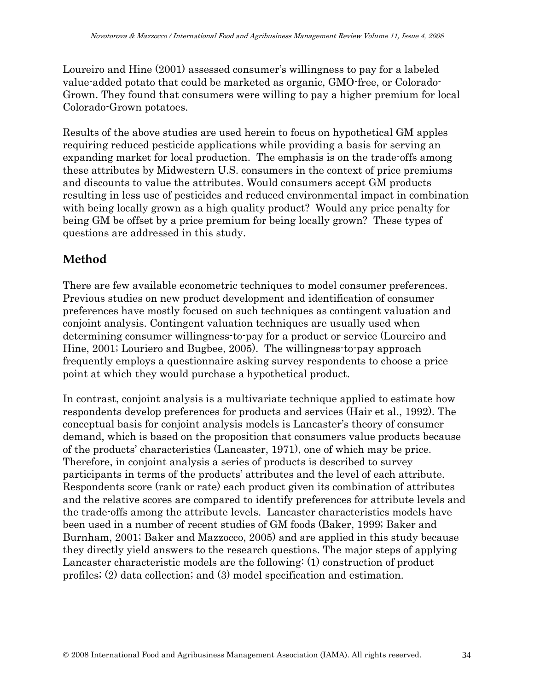Loureiro and Hine (2001) assessed consumer's willingness to pay for a labeled value-added potato that could be marketed as organic, GMO-free, or Colorado-Grown. They found that consumers were willing to pay a higher premium for local Colorado-Grown potatoes.

Results of the above studies are used herein to focus on hypothetical GM apples requiring reduced pesticide applications while providing a basis for serving an expanding market for local production. The emphasis is on the trade-offs among these attributes by Midwestern U.S. consumers in the context of price premiums and discounts to value the attributes. Would consumers accept GM products resulting in less use of pesticides and reduced environmental impact in combination with being locally grown as a high quality product? Would any price penalty for being GM be offset by a price premium for being locally grown? These types of questions are addressed in this study.

### **Method**

There are few available econometric techniques to model consumer preferences. Previous studies on new product development and identification of consumer preferences have mostly focused on such techniques as contingent valuation and conjoint analysis. Contingent valuation techniques are usually used when determining consumer willingness-to-pay for a product or service (Loureiro and Hine, 2001; Louriero and Bugbee, 2005). The willingness-to-pay approach frequently employs a questionnaire asking survey respondents to choose a price point at which they would purchase a hypothetical product.

In contrast, conjoint analysis is a multivariate technique applied to estimate how respondents develop preferences for products and services (Hair et al., 1992). The conceptual basis for conjoint analysis models is Lancaster's theory of consumer demand, which is based on the proposition that consumers value products because of the products' characteristics (Lancaster, 1971), one of which may be price. Therefore, in conjoint analysis a series of products is described to survey participants in terms of the products' attributes and the level of each attribute. Respondents score (rank or rate) each product given its combination of attributes and the relative scores are compared to identify preferences for attribute levels and the trade-offs among the attribute levels. Lancaster characteristics models have been used in a number of recent studies of GM foods (Baker, 1999; Baker and Burnham, 2001; Baker and Mazzocco, 2005) and are applied in this study because they directly yield answers to the research questions. The major steps of applying Lancaster characteristic models are the following: (1) construction of product profiles; (2) data collection; and (3) model specification and estimation.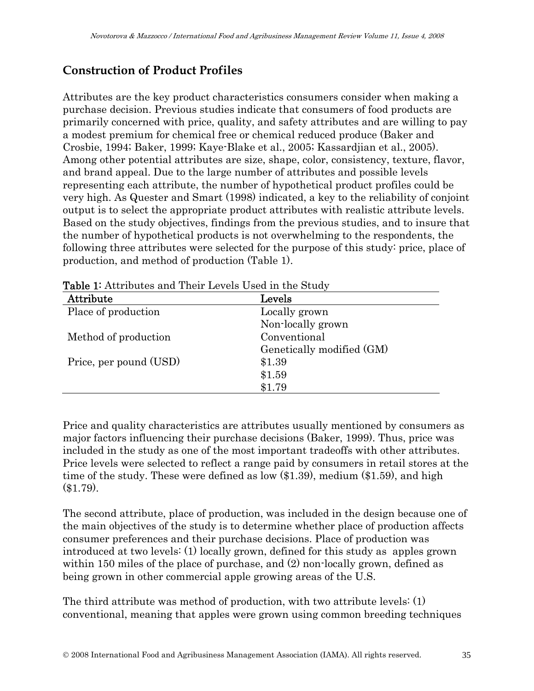# **Construction of Product Profiles**

Attributes are the key product characteristics consumers consider when making a purchase decision. Previous studies indicate that consumers of food products are primarily concerned with price, quality, and safety attributes and are willing to pay a modest premium for chemical free or chemical reduced produce (Baker and Crosbie, 1994; Baker, 1999; Kaye-Blake et al., 2005; Kassardjian et al., 2005). Among other potential attributes are size, shape, color, consistency, texture, flavor, and brand appeal. Due to the large number of attributes and possible levels representing each attribute, the number of hypothetical product profiles could be very high. As Quester and Smart (1998) indicated, a key to the reliability of conjoint output is to select the appropriate product attributes with realistic attribute levels. Based on the study objectives, findings from the previous studies, and to insure that the number of hypothetical products is not overwhelming to the respondents, the following three attributes were selected for the purpose of this study: price, place of production, and method of production (Table 1).

| <b>Lable 1'</b> Attributes and Their Levels Osed in the bitter |                           |  |  |
|----------------------------------------------------------------|---------------------------|--|--|
| Attribute                                                      | Levels                    |  |  |
| Place of production                                            | Locally grown             |  |  |
|                                                                | Non-locally grown         |  |  |
| Method of production                                           | Conventional              |  |  |
|                                                                | Genetically modified (GM) |  |  |
| Price, per pound (USD)                                         | \$1.39                    |  |  |
|                                                                | \$1.59                    |  |  |
|                                                                | \$1.79                    |  |  |

Table 1: Attributes and Their Levels Head in the Study

Price and quality characteristics are attributes usually mentioned by consumers as major factors influencing their purchase decisions (Baker, 1999). Thus, price was included in the study as one of the most important tradeoffs with other attributes. Price levels were selected to reflect a range paid by consumers in retail stores at the time of the study. These were defined as low (\$1.39), medium (\$1.59), and high (\$1.79).

The second attribute, place of production, was included in the design because one of the main objectives of the study is to determine whether place of production affects consumer preferences and their purchase decisions. Place of production was introduced at two levels: (1) locally grown, defined for this study as apples grown within 150 miles of the place of purchase, and (2) non-locally grown, defined as being grown in other commercial apple growing areas of the U.S.

The third attribute was method of production, with two attribute levels: (1) conventional, meaning that apples were grown using common breeding techniques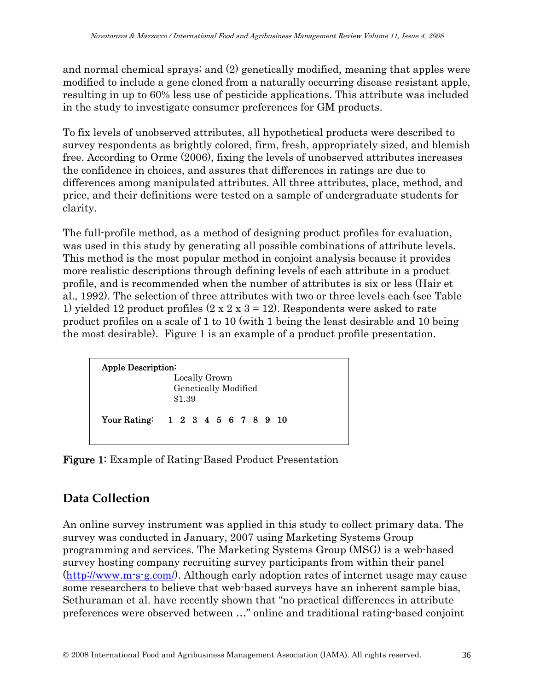and normal chemical sprays; and (2) genetically modified, meaning that apples were modified to include a gene cloned from a naturally occurring disease resistant apple, resulting in up to 60% less use of pesticide applications. This attribute was included in the study to investigate consumer preferences for GM products.

To fix levels of unobserved attributes, all hypothetical products were described to survey respondents as brightly colored, firm, fresh, appropriately sized, and blemish free. According to Orme (2006), fixing the levels of unobserved attributes increases the confidence in choices, and assures that differences in ratings are due to differences among manipulated attributes. All three attributes, place, method, and price, and their definitions were tested on a sample of undergraduate students for clarity.

The full-profile method, as a method of designing product profiles for evaluation, was used in this study by generating all possible combinations of attribute levels. This method is the most popular method in conjoint analysis because it provides more realistic descriptions through defining levels of each attribute in a product profile, and is recommended when the number of attributes is six or less (Hair et al., 1992). The selection of three attributes with two or three levels each (see Table 1) yielded 12 product profiles  $(2 \times 2 \times 3 = 12)$ . Respondents were asked to rate product profiles on a scale of 1 to 10 (with 1 being the least desirable and 10 being the most desirable). Figure 1 is an example of a product profile presentation.

| <b>Apple Description:</b> |                                   |  |
|---------------------------|-----------------------------------|--|
|                           | Locally Grown                     |  |
|                           | Genetically Modified              |  |
|                           | \$1.39                            |  |
|                           | Your Rating: 1 2 3 4 5 6 7 8 9 10 |  |

Figure 1: Example of Rating-Based Product Presentation

### **Data Collection**

An online survey instrument was applied in this study to collect primary data. The survey was conducted in January, 2007 using Marketing Systems Group programming and services. The Marketing Systems Group (MSG) is a web-based survey hosting company recruiting survey participants from within their panel (http://www.m-s-g.com/). Although early adoption rates of internet usage may cause some researchers to believe that web-based surveys have an inherent sample bias, Sethuraman et al. have recently shown that "no practical differences in attribute preferences were observed between …" online and traditional rating-based conjoint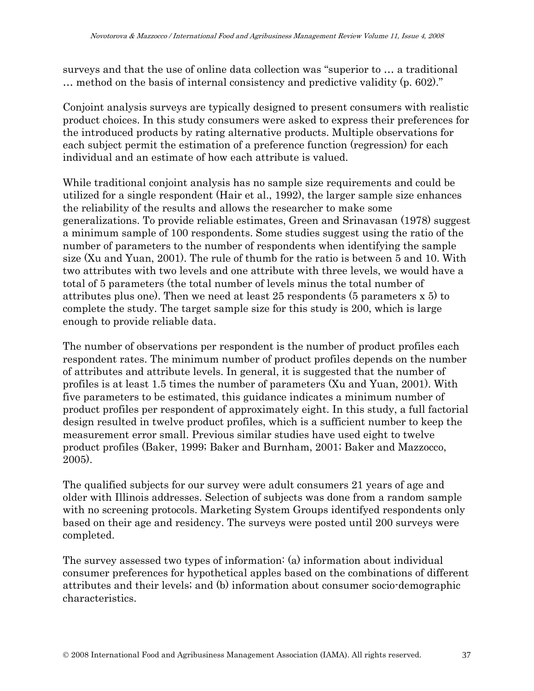surveys and that the use of online data collection was "superior to … a traditional … method on the basis of internal consistency and predictive validity (p. 602)."

Conjoint analysis surveys are typically designed to present consumers with realistic product choices. In this study consumers were asked to express their preferences for the introduced products by rating alternative products. Multiple observations for each subject permit the estimation of a preference function (regression) for each individual and an estimate of how each attribute is valued.

While traditional conjoint analysis has no sample size requirements and could be utilized for a single respondent (Hair et al., 1992), the larger sample size enhances the reliability of the results and allows the researcher to make some generalizations. To provide reliable estimates, Green and Srinavasan (1978) suggest a minimum sample of 100 respondents. Some studies suggest using the ratio of the number of parameters to the number of respondents when identifying the sample size (Xu and Yuan, 2001). The rule of thumb for the ratio is between 5 and 10. With two attributes with two levels and one attribute with three levels, we would have a total of 5 parameters (the total number of levels minus the total number of attributes plus one). Then we need at least 25 respondents (5 parameters x 5) to complete the study. The target sample size for this study is 200, which is large enough to provide reliable data.

The number of observations per respondent is the number of product profiles each respondent rates. The minimum number of product profiles depends on the number of attributes and attribute levels. In general, it is suggested that the number of profiles is at least 1.5 times the number of parameters (Xu and Yuan, 2001). With five parameters to be estimated, this guidance indicates a minimum number of product profiles per respondent of approximately eight. In this study, a full factorial design resulted in twelve product profiles, which is a sufficient number to keep the measurement error small. Previous similar studies have used eight to twelve product profiles (Baker, 1999; Baker and Burnham, 2001; Baker and Mazzocco, 2005).

The qualified subjects for our survey were adult consumers 21 years of age and older with Illinois addresses. Selection of subjects was done from a random sample with no screening protocols. Marketing System Groups identifyed respondents only based on their age and residency. The surveys were posted until 200 surveys were completed.

The survey assessed two types of information: (a) information about individual consumer preferences for hypothetical apples based on the combinations of different attributes and their levels; and (b) information about consumer socio-demographic characteristics.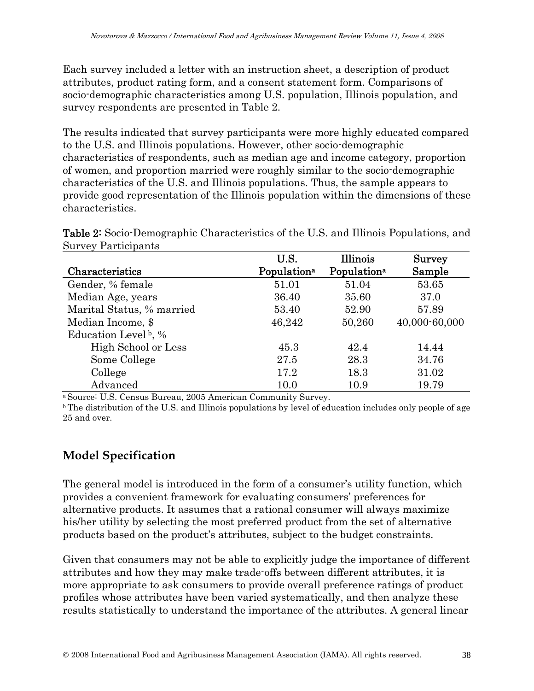Each survey included a letter with an instruction sheet, a description of product attributes, product rating form, and a consent statement form. Comparisons of socio-demographic characteristics among U.S. population, Illinois population, and survey respondents are presented in Table 2.

The results indicated that survey participants were more highly educated compared to the U.S. and Illinois populations. However, other socio-demographic characteristics of respondents, such as median age and income category, proportion of women, and proportion married were roughly similar to the socio-demographic characteristics of the U.S. and Illinois populations. Thus, the sample appears to provide good representation of the Illinois population within the dimensions of these characteristics.

Table 2: Socio-Demographic Characteristics of the U.S. and Illinois Populations, and Survey Participants

|                                  | U.S.                    | Illinois                | <b>Survey</b> |
|----------------------------------|-------------------------|-------------------------|---------------|
| Characteristics                  | Population <sup>a</sup> | Population <sup>a</sup> | Sample        |
| Gender, % female                 | 51.01                   | 51.04                   | 53.65         |
| Median Age, years                | 36.40                   | 35.60                   | 37.0          |
| Marital Status, % married        | 53.40                   | 52.90                   | 57.89         |
| Median Income, \$                | 46,242                  | 50,260                  | 40,000-60,000 |
| Education Level <sup>b</sup> , % |                         |                         |               |
| High School or Less              | 45.3                    | 42.4                    | 14.44         |
| Some College                     | 27.5                    | 28.3                    | 34.76         |
| College                          | 17.2                    | 18.3                    | 31.02         |
| Advanced                         | 10.0                    | 10.9                    | 19.79         |

<sup>a</sup> Source: U.S. Census Bureau, 2005 American Community Survey.

b The distribution of the U.S. and Illinois populations by level of education includes only people of age 25 and over.

### **Model Specification**

The general model is introduced in the form of a consumer's utility function, which provides a convenient framework for evaluating consumers' preferences for alternative products. It assumes that a rational consumer will always maximize his/her utility by selecting the most preferred product from the set of alternative products based on the product's attributes, subject to the budget constraints.

Given that consumers may not be able to explicitly judge the importance of different attributes and how they may make trade-offs between different attributes, it is more appropriate to ask consumers to provide overall preference ratings of product profiles whose attributes have been varied systematically, and then analyze these results statistically to understand the importance of the attributes. A general linear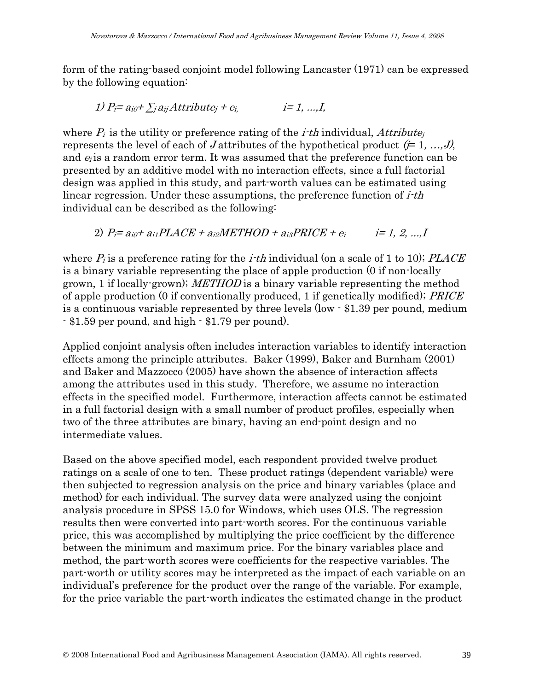form of the rating-based conjoint model following Lancaster (1971) can be expressed by the following equation:

$$
1) P_i = a_{i0} + \sum_j a_{ij} \text{Attribute}_j + e_{i,j} \qquad i = 1, ..., I,
$$

where  $P_i$  is the utility or preference rating of the *i-th* individual, *Attribute* represents the level of each of J attributes of the hypothetical product  $(= 1, ..., J)$ , and  $e_i$  is a random error term. It was assumed that the preference function can be presented by an additive model with no interaction effects, since a full factorial design was applied in this study, and part-worth values can be estimated using linear regression. Under these assumptions, the preference function of *i-th* individual can be described as the following:

2)  $P_i = a_{i0} + a_{i1}PLACE + a_{i2}METHOD + a_{i3}PRICE + e_i$   $i = 1, 2, ...$ 

where  $P_i$  is a preference rating for the *i*-th individual (on a scale of 1 to 10); PLACE is a binary variable representing the place of apple production (0 if non-locally grown, 1 if locally-grown); METHOD is a binary variable representing the method of apple production (0 if conventionally produced, 1 if genetically modified); PRICE is a continuous variable represented by three levels (low - \$1.39 per pound, medium - \$1.59 per pound, and high - \$1.79 per pound).

Applied conjoint analysis often includes interaction variables to identify interaction effects among the principle attributes. Baker (1999), Baker and Burnham (2001) and Baker and Mazzocco (2005) have shown the absence of interaction affects among the attributes used in this study. Therefore, we assume no interaction effects in the specified model. Furthermore, interaction affects cannot be estimated in a full factorial design with a small number of product profiles, especially when two of the three attributes are binary, having an end-point design and no intermediate values.

Based on the above specified model, each respondent provided twelve product ratings on a scale of one to ten. These product ratings (dependent variable) were then subjected to regression analysis on the price and binary variables (place and method) for each individual. The survey data were analyzed using the conjoint analysis procedure in SPSS 15.0 for Windows, which uses OLS. The regression results then were converted into part-worth scores. For the continuous variable price, this was accomplished by multiplying the price coefficient by the difference between the minimum and maximum price. For the binary variables place and method, the part-worth scores were coefficients for the respective variables. The part-worth or utility scores may be interpreted as the impact of each variable on an individual's preference for the product over the range of the variable. For example, for the price variable the part-worth indicates the estimated change in the product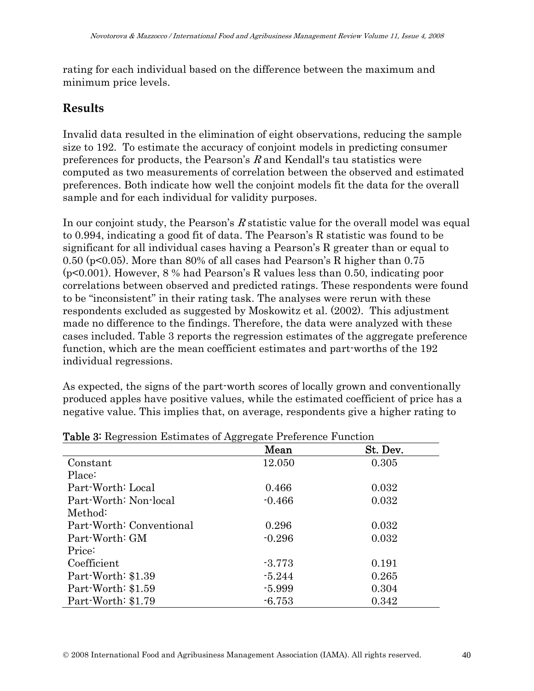rating for each individual based on the difference between the maximum and minimum price levels.

#### **Results**

Invalid data resulted in the elimination of eight observations, reducing the sample size to 192. To estimate the accuracy of conjoint models in predicting consumer preferences for products, the Pearson's  $R$  and Kendall's tau statistics were computed as two measurements of correlation between the observed and estimated preferences. Both indicate how well the conjoint models fit the data for the overall sample and for each individual for validity purposes.

In our conjoint study, the Pearson's R statistic value for the overall model was equal to 0.994, indicating a good fit of data. The Pearson's R statistic was found to be significant for all individual cases having a Pearson's R greater than or equal to 0.50 (p<0.05). More than 80% of all cases had Pearson's R higher than 0.75 (p<0.001). However, 8 % had Pearson's R values less than 0.50, indicating poor correlations between observed and predicted ratings. These respondents were found to be "inconsistent" in their rating task. The analyses were rerun with these respondents excluded as suggested by Moskowitz et al. (2002). This adjustment made no difference to the findings. Therefore, the data were analyzed with these cases included. Table 3 reports the regression estimates of the aggregate preference function, which are the mean coefficient estimates and part-worths of the 192 individual regressions.

As expected, the signs of the part-worth scores of locally grown and conventionally produced apples have positive values, while the estimated coefficient of price has a negative value. This implies that, on average, respondents give a higher rating to

| <b>Table 5.</b> Regression Estimates of Aggregate Freierence Function |          |          |  |  |
|-----------------------------------------------------------------------|----------|----------|--|--|
|                                                                       | Mean     | St. Dev. |  |  |
| Constant                                                              | 12.050   | 0.305    |  |  |
| Place:                                                                |          |          |  |  |
| Part-Worth: Local                                                     | 0.466    | 0.032    |  |  |
| Part-Worth: Non-local                                                 | $-0.466$ | 0.032    |  |  |
| Method:                                                               |          |          |  |  |
| Part-Worth: Conventional                                              | 0.296    | 0.032    |  |  |
| Part-Worth: GM                                                        | $-0.296$ | 0.032    |  |  |
| Price:                                                                |          |          |  |  |
| Coefficient                                                           | $-3.773$ | 0.191    |  |  |
| Part-Worth: \$1.39                                                    | $-5.244$ | 0.265    |  |  |
| Part-Worth: \$1.59                                                    | $-5.999$ | 0.304    |  |  |
| Part-Worth: \$1.79                                                    | $-6.753$ | 0.342    |  |  |

#### Table 2: Regression Fetimates of Aggregate Preference Function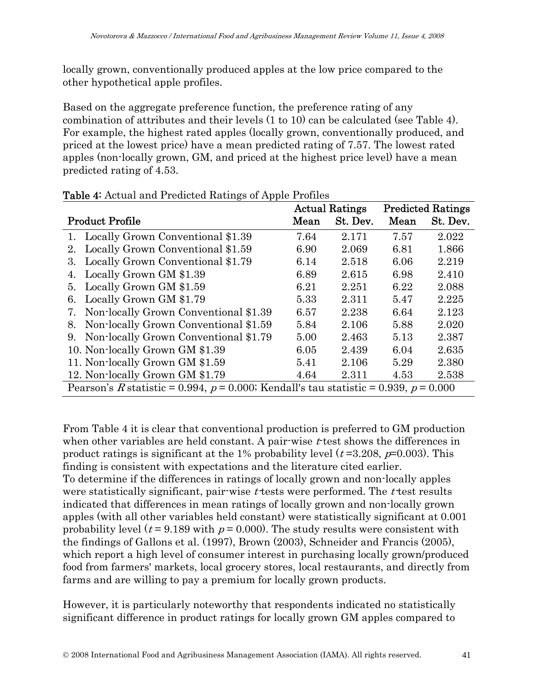locally grown, conventionally produced apples at the low price compared to the other hypothetical apple profiles.

Based on the aggregate preference function, the preference rating of any combination of attributes and their levels (1 to 10) can be calculated (see Table 4). For example, the highest rated apples (locally grown, conventionally produced, and priced at the lowest price) have a mean predicted rating of 7.57. The lowest rated apples (non-locally grown, GM, and priced at the highest price level) have a mean predicted rating of 4.53.

|                                                                                           | <b>Actual Ratings</b> |          |      | <b>Predicted Ratings</b> |
|-------------------------------------------------------------------------------------------|-----------------------|----------|------|--------------------------|
| <b>Product Profile</b>                                                                    | Mean                  | St. Dev. | Mean | St. Dev.                 |
| 1. Locally Grown Conventional \$1.39                                                      | 7.64                  | 2.171    | 7.57 | 2.022                    |
| Locally Grown Conventional \$1.59<br>2.                                                   | 6.90                  | 2.069    | 6.81 | 1.866                    |
| Locally Grown Conventional \$1.79<br>3.                                                   | 6.14                  | 2.518    | 6.06 | 2.219                    |
| Locally Grown GM \$1.39<br>4.                                                             | 6.89                  | 2.615    | 6.98 | 2.410                    |
| Locally Grown GM \$1.59<br>5.                                                             | 6.21                  | 2.251    | 6.22 | 2.088                    |
| Locally Grown GM \$1.79<br>6.                                                             | 5.33                  | 2.311    | 5.47 | 2.225                    |
| Non-locally Grown Conventional \$1.39<br>7.                                               | 6.57                  | 2.238    | 6.64 | 2.123                    |
| Non-locally Grown Conventional \$1.59<br>8.                                               | 5.84                  | 2.106    | 5.88 | 2.020                    |
| Non-locally Grown Conventional \$1.79<br>9.                                               | 5.00                  | 2.463    | 5.13 | 2.387                    |
| 10. Non-locally Grown GM \$1.39                                                           | 6.05                  | 2.439    | 6.04 | 2.635                    |
| 11. Non-locally Grown GM \$1.59                                                           | 5.41                  | 2.106    | 5.29 | 2.380                    |
| 12. Non-locally Grown GM \$1.79                                                           | 4.64                  | 2.311    | 4.53 | 2.538                    |
| Pearson's R statistic = 0.994, $p = 0.000$ ; Kendall's tau statistic = 0.939, $p = 0.000$ |                       |          |      |                          |

Table 4: Actual and Predicted Ratings of Apple Profiles

From Table 4 it is clear that conventional production is preferred to GM production when other variables are held constant. A pair-wise  $t$  test shows the differences in product ratings is significant at the 1% probability level  $(t=3.208, p=0.003)$ . This finding is consistent with expectations and the literature cited earlier. To determine if the differences in ratings of locally grown and non-locally apples were statistically significant, pair-wise  $t$  tests were performed. The  $t$  test results indicated that differences in mean ratings of locally grown and non-locally grown apples (with all other variables held constant) were statistically significant at 0.001 probability level ( $t = 9.189$  with  $p = 0.000$ ). The study results were consistent with the findings of Gallons et al. (1997), Brown (2003), Schneider and Francis (2005), which report a high level of consumer interest in purchasing locally grown/produced food from farmers' markets, local grocery stores, local restaurants, and directly from farms and are willing to pay a premium for locally grown products.

However, it is particularly noteworthy that respondents indicated no statistically significant difference in product ratings for locally grown GM apples compared to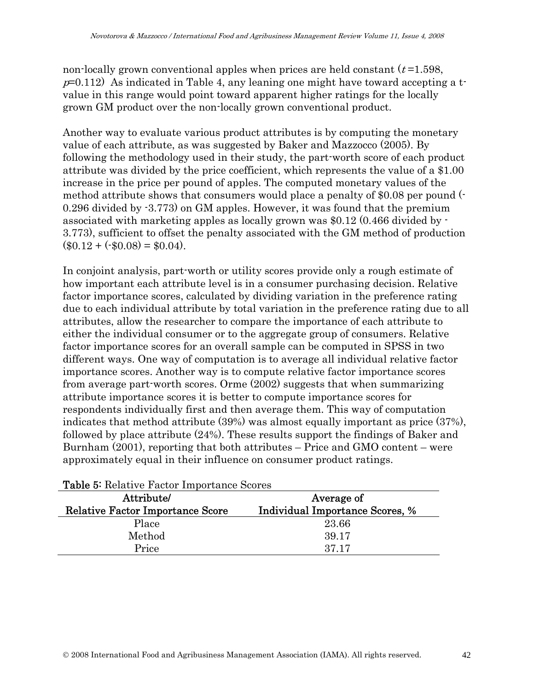non-locally grown conventional apples when prices are held constant  $(t=1.598,$  $p=0.112$ ) As indicated in Table 4, any leaning one might have toward accepting a tvalue in this range would point toward apparent higher ratings for the locally grown GM product over the non-locally grown conventional product.

Another way to evaluate various product attributes is by computing the monetary value of each attribute, as was suggested by Baker and Mazzocco (2005). By following the methodology used in their study, the part-worth score of each product attribute was divided by the price coefficient, which represents the value of a \$1.00 increase in the price per pound of apples. The computed monetary values of the method attribute shows that consumers would place a penalty of \$0.08 per pound (- 0.296 divided by -3.773) on GM apples. However, it was found that the premium associated with marketing apples as locally grown was \$0.12 (0.466 divided by - 3.773), sufficient to offset the penalty associated with the GM method of production  $($0.12 + (-0.08) = $0.04).$ 

In conjoint analysis, part-worth or utility scores provide only a rough estimate of how important each attribute level is in a consumer purchasing decision. Relative factor importance scores, calculated by dividing variation in the preference rating due to each individual attribute by total variation in the preference rating due to all attributes, allow the researcher to compare the importance of each attribute to either the individual consumer or to the aggregate group of consumers. Relative factor importance scores for an overall sample can be computed in SPSS in two different ways. One way of computation is to average all individual relative factor importance scores. Another way is to compute relative factor importance scores from average part-worth scores. Orme (2002) suggests that when summarizing attribute importance scores it is better to compute importance scores for respondents individually first and then average them. This way of computation indicates that method attribute (39%) was almost equally important as price (37%), followed by place attribute (24%). These results support the findings of Baker and Burnham (2001), reporting that both attributes – Price and GMO content – were approximately equal in their influence on consumer product ratings.

| <b>Table 5.</b> Relative Factor Importance Scores |                                        |  |  |
|---------------------------------------------------|----------------------------------------|--|--|
| Attribute/<br>Average of                          |                                        |  |  |
| <b>Relative Factor Importance Score</b>           | <b>Individual Importance Scores, %</b> |  |  |
| Place                                             | 23.66                                  |  |  |
| Method                                            | 39.17                                  |  |  |
| Price                                             | 37.17                                  |  |  |
|                                                   |                                        |  |  |

| Table 5: Relative Factor Importance Scores |  |
|--------------------------------------------|--|
|--------------------------------------------|--|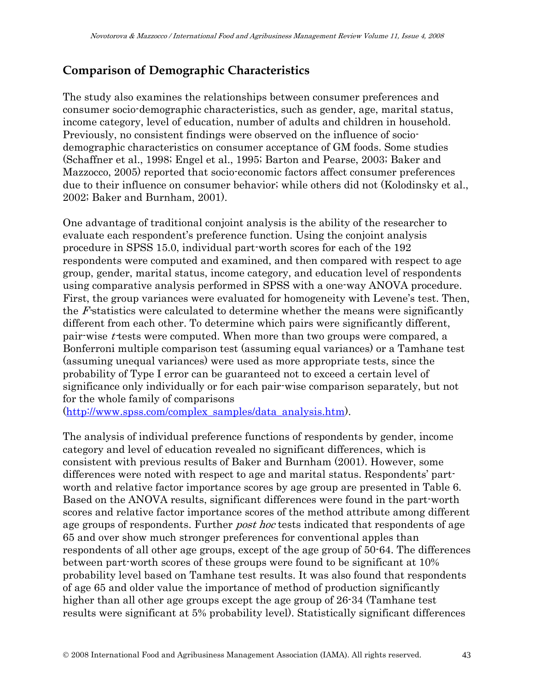### **Comparison of Demographic Characteristics**

The study also examines the relationships between consumer preferences and consumer socio-demographic characteristics, such as gender, age, marital status, income category, level of education, number of adults and children in household. Previously, no consistent findings were observed on the influence of sociodemographic characteristics on consumer acceptance of GM foods. Some studies (Schaffner et al., 1998; Engel et al., 1995; Barton and Pearse, 2003; Baker and Mazzocco, 2005) reported that socio-economic factors affect consumer preferences due to their influence on consumer behavior; while others did not (Kolodinsky et al., 2002; Baker and Burnham, 2001).

One advantage of traditional conjoint analysis is the ability of the researcher to evaluate each respondent's preference function. Using the conjoint analysis procedure in SPSS 15.0, individual part-worth scores for each of the 192 respondents were computed and examined, and then compared with respect to age group, gender, marital status, income category, and education level of respondents using comparative analysis performed in SPSS with a one-way ANOVA procedure. First, the group variances were evaluated for homogeneity with Levene's test. Then, the F-statistics were calculated to determine whether the means were significantly different from each other. To determine which pairs were significantly different, pair-wise *t*-tests were computed. When more than two groups were compared, a Bonferroni multiple comparison test (assuming equal variances) or a Tamhane test (assuming unequal variances) were used as more appropriate tests, since the probability of Type I error can be guaranteed not to exceed a certain level of significance only individually or for each pair-wise comparison separately, but not for the whole family of comparisons

(http://www.spss.com/complex\_samples/data\_analysis.htm).

The analysis of individual preference functions of respondents by gender, income category and level of education revealed no significant differences, which is consistent with previous results of Baker and Burnham (2001). However, some differences were noted with respect to age and marital status. Respondents' partworth and relative factor importance scores by age group are presented in Table 6. Based on the ANOVA results, significant differences were found in the part-worth scores and relative factor importance scores of the method attribute among different age groups of respondents. Further *post hoc* tests indicated that respondents of age 65 and over show much stronger preferences for conventional apples than respondents of all other age groups, except of the age group of 50-64. The differences between part-worth scores of these groups were found to be significant at 10% probability level based on Tamhane test results. It was also found that respondents of age 65 and older value the importance of method of production significantly higher than all other age groups except the age group of 26-34 (Tamhane test results were significant at 5% probability level). Statistically significant differences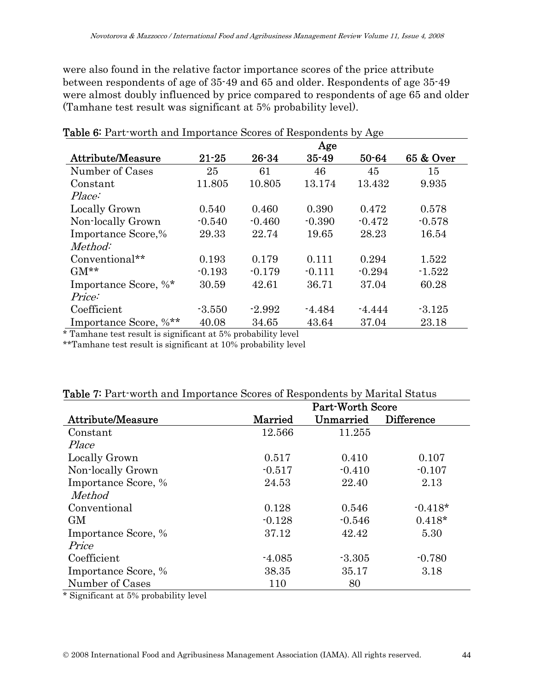were also found in the relative factor importance scores of the price attribute between respondents of age of 35-49 and 65 and older. Respondents of age 35-49 were almost doubly influenced by price compared to respondents of age 65 and older (Tamhane test result was significant at 5% probability level).

|                          |           |           | Age       |           |           |
|--------------------------|-----------|-----------|-----------|-----------|-----------|
| <b>Attribute/Measure</b> | $21 - 25$ | $26 - 34$ | $35 - 49$ | $50 - 64$ | 65 & Over |
| Number of Cases          | 25        | 61        | 46        | 45        | 15        |
| Constant                 | 11.805    | 10.805    | 13.174    | 13.432    | 9.935     |
| Place:                   |           |           |           |           |           |
| Locally Grown            | 0.540     | 0.460     | 0.390     | 0.472     | 0.578     |
| Non-locally Grown        | $-0.540$  | $-0.460$  | $-0.390$  | $-0.472$  | $-0.578$  |
| Importance Score,%       | 29.33     | 22.74     | 19.65     | 28.23     | 16.54     |
| Method:                  |           |           |           |           |           |
| Conventional**           | 0.193     | 0.179     | 0.111     | 0.294     | 1.522     |
| $GM**$                   | $-0.193$  | $-0.179$  | $-0.111$  | $-0.294$  | $-1.522$  |
| Importance Score, %*     | 30.59     | 42.61     | 36.71     | 37.04     | 60.28     |
| Price:                   |           |           |           |           |           |
| Coefficient              | $-3.550$  | $-2.992$  | $-4.484$  | $-4.444$  | $-3.125$  |
| Importance Score, %**    | 40.08     | 34.65     | 43.64     | 37.04     | 23.18     |

Table 6: Part-worth and Importance Scores of Respondents by Age

\* Tamhane test result is significant at 5% probability level

\*\*Tamhane test result is significant at 10% probability level

|                     | <b>Table <i>I</i></b> Fart worth and importance Scores of Respondents by Marital Status<br><b>Part-Worth Score</b> |           |                   |  |  |
|---------------------|--------------------------------------------------------------------------------------------------------------------|-----------|-------------------|--|--|
| Attribute/Measure   | Married                                                                                                            | Unmarried | <b>Difference</b> |  |  |
| Constant            | 12.566                                                                                                             | 11.255    |                   |  |  |
| Place               |                                                                                                                    |           |                   |  |  |
| Locally Grown       | 0.517                                                                                                              | 0.410     | 0.107             |  |  |
| Non-locally Grown   | $-0.517$                                                                                                           | $-0.410$  | $-0.107$          |  |  |
| Importance Score, % | 24.53                                                                                                              | 22.40     | 2.13              |  |  |
| <i>Method</i>       |                                                                                                                    |           |                   |  |  |
| Conventional        | 0.128                                                                                                              | 0.546     | $-0.418*$         |  |  |
| <b>GM</b>           | $-0.128$                                                                                                           | $-0.546$  | $0.418*$          |  |  |
| Importance Score, % | 37.12                                                                                                              | 42.42     | 5.30              |  |  |
| Price               |                                                                                                                    |           |                   |  |  |
| Coefficient         | $-4.085$                                                                                                           | $-3.305$  | $-0.780$          |  |  |
| Importance Score, % | 38.35                                                                                                              | 35.17     | 3.18              |  |  |
| Number of Cases     | 110                                                                                                                | 80        |                   |  |  |

#### Table 7: Part-worth and Importance Scores of Respondents by Marital Status

\* Significant at 5% probability level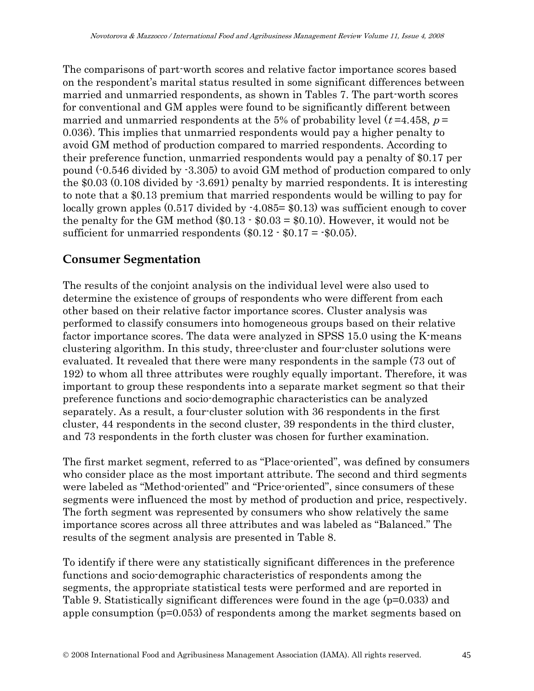The comparisons of part-worth scores and relative factor importance scores based on the respondent's marital status resulted in some significant differences between married and unmarried respondents, as shown in Tables 7. The part-worth scores for conventional and GM apples were found to be significantly different between married and unmarried respondents at the 5% of probability level ( $t = 4.458$ ,  $p =$ 0.036). This implies that unmarried respondents would pay a higher penalty to avoid GM method of production compared to married respondents. According to their preference function, unmarried respondents would pay a penalty of \$0.17 per pound (-0.546 divided by -3.305) to avoid GM method of production compared to only the \$0.03 (0.108 divided by -3.691) penalty by married respondents. It is interesting to note that a \$0.13 premium that married respondents would be willing to pay for locally grown apples  $(0.517 \text{ divided by } -4.085 = $0.13)$  was sufficient enough to cover the penalty for the GM method  $(\$0.13 - \$0.03 = \$0.10)$ . However, it would not be sufficient for unmarried respondents  $(\$0.12 \cdot \$0.17 = \$0.05)$ .

### **Consumer Segmentation**

The results of the conjoint analysis on the individual level were also used to determine the existence of groups of respondents who were different from each other based on their relative factor importance scores. Cluster analysis was performed to classify consumers into homogeneous groups based on their relative factor importance scores. The data were analyzed in SPSS 15.0 using the K-means clustering algorithm. In this study, three-cluster and four-cluster solutions were evaluated. It revealed that there were many respondents in the sample (73 out of 192) to whom all three attributes were roughly equally important. Therefore, it was important to group these respondents into a separate market segment so that their preference functions and socio-demographic characteristics can be analyzed separately. As a result, a four-cluster solution with 36 respondents in the first cluster, 44 respondents in the second cluster, 39 respondents in the third cluster, and 73 respondents in the forth cluster was chosen for further examination.

The first market segment, referred to as "Place-oriented", was defined by consumers who consider place as the most important attribute. The second and third segments were labeled as "Method-oriented" and "Price-oriented", since consumers of these segments were influenced the most by method of production and price, respectively. The forth segment was represented by consumers who show relatively the same importance scores across all three attributes and was labeled as "Balanced." The results of the segment analysis are presented in Table 8.

To identify if there were any statistically significant differences in the preference functions and socio-demographic characteristics of respondents among the segments, the appropriate statistical tests were performed and are reported in Table 9. Statistically significant differences were found in the age (p=0.033) and apple consumption (p=0.053) of respondents among the market segments based on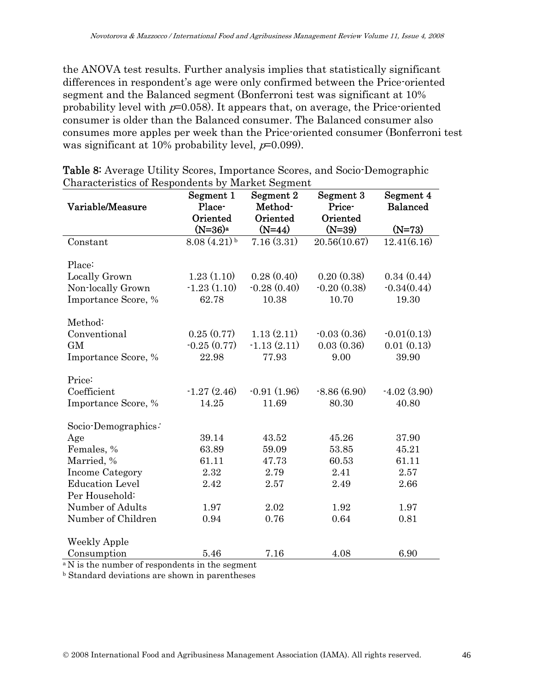the ANOVA test results. Further analysis implies that statistically significant differences in respondent's age were only confirmed between the Price-oriented segment and the Balanced segment (Bonferroni test was significant at 10% probability level with  $p=0.058$ . It appears that, on average, the Price-oriented consumer is older than the Balanced consumer. The Balanced consumer also consumes more apples per week than the Price-oriented consumer (Bonferroni test was significant at 10% probability level,  $p=0.099$ ).

|                        | Segment 1                 | Segment 2     | Segment 3     | Segment 4       |
|------------------------|---------------------------|---------------|---------------|-----------------|
| Variable/Measure       | Place-                    | Method-       | Price-        | <b>Balanced</b> |
|                        | Oriented                  | Oriented      | Oriented      |                 |
|                        | $(N=36)a$                 | $(N=44)$      | $(N=39)$      | $(N=73)$        |
| Constant               | $8.08(4.21)$ <sup>b</sup> | 7.16(3.31)    | 20.56(10.67)  | 12.41(6.16)     |
| Place:                 |                           |               |               |                 |
| Locally Grown          | 1.23(1.10)                | 0.28(0.40)    | 0.20(0.38)    | 0.34(0.44)      |
| Non-locally Grown      | $-1.23(1.10)$             | $-0.28(0.40)$ | $-0.20(0.38)$ | $-0.34(0.44)$   |
| Importance Score, %    | 62.78                     | 10.38         | 10.70         | 19.30           |
|                        |                           |               |               |                 |
| Method:                |                           |               |               |                 |
| Conventional           | 0.25(0.77)                | 1.13(2.11)    | $-0.03(0.36)$ | $-0.01(0.13)$   |
| <b>GM</b>              | $-0.25(0.77)$             | $-1.13(2.11)$ | 0.03(0.36)    | 0.01(0.13)      |
| Importance Score, %    | 22.98                     | 77.93         | 9.00          | 39.90           |
| Price:                 |                           |               |               |                 |
| Coefficient            | $-1.27(2.46)$             | $-0.91(1.96)$ | $-8.86(6.90)$ | $-4.02(3.90)$   |
| Importance Score, %    | 14.25                     | 11.69         | 80.30         | 40.80           |
|                        |                           |               |               |                 |
| Socio-Demographics:    |                           |               |               |                 |
| Age                    | 39.14                     | 43.52         | 45.26         | 37.90           |
| Females, %             | 63.89                     | 59.09         | 53.85         | 45.21           |
| Married, %             | 61.11                     | 47.73         | 60.53         | 61.11           |
| Income Category        | 2.32                      | 2.79          | 2.41          | 2.57            |
| <b>Education Level</b> | 2.42                      | 2.57          | 2.49          | 2.66            |
| Per Household:         |                           |               |               |                 |
| Number of Adults       | 1.97                      | 2.02          | 1.92          | 1.97            |
| Number of Children     | 0.94                      | 0.76          | 0.64          | 0.81            |
| <b>Weekly Apple</b>    |                           |               |               |                 |
| Consumption            | 5.46                      | 7.16          | 4.08          | 6.90            |
|                        |                           |               |               |                 |

|  | <b>Table 8:</b> Average Utility Scores, Importance Scores, and Socio-Demographic |  |  |
|--|----------------------------------------------------------------------------------|--|--|
|  | Characteristics of Respondents by Market Segment                                 |  |  |

 ${}^{\rm a}$  N is the number of respondents in the segment

b Standard deviations are shown in parentheses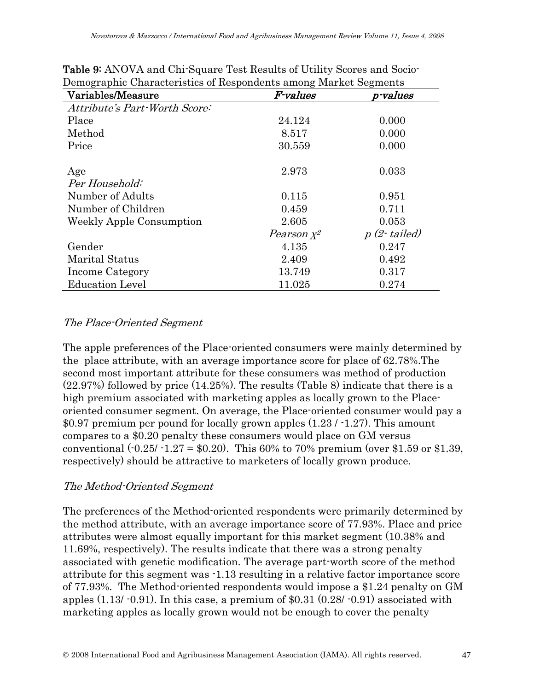| Variables/Measure               | F-values      | p-values      |
|---------------------------------|---------------|---------------|
| Attribute's Part-Worth Score:   |               |               |
| Place                           | 24.124        | 0.000         |
| Method                          | 8.517         | 0.000         |
| Price                           | 30.559        | 0.000         |
| Age                             | 2.973         | 0.033         |
| Per Household:                  |               |               |
| Number of Adults                | 0.115         | 0.951         |
| Number of Children              | 0.459         | 0.711         |
| <b>Weekly Apple Consumption</b> | 2.605         | 0.053         |
|                                 | Pearson $x^2$ | $p(2-tailed)$ |
| Gender                          | 4.135         | 0.247         |
| <b>Marital Status</b>           | 2.409         | 0.492         |
| Income Category                 | 13.749        | 0.317         |
| <b>Education Level</b>          | 11.025        | 0.274         |

Table 9: ANOVA and Chi-Square Test Results of Utility Scores and Socio-Demographic Characteristics of Respondents among Market Segments

#### The Place-Oriented Segment

The apple preferences of the Place-oriented consumers were mainly determined by the place attribute, with an average importance score for place of 62.78%.The second most important attribute for these consumers was method of production (22.97%) followed by price (14.25%). The results (Table 8) indicate that there is a high premium associated with marketing apples as locally grown to the Placeoriented consumer segment. On average, the Place-oriented consumer would pay a \$0.97 premium per pound for locally grown apples (1.23 / -1.27). This amount compares to a \$0.20 penalty these consumers would place on GM versus conventional  $(-0.25/-1.27 = $0.20)$ . This 60% to 70% premium (over \$1.59 or \$1.39, respectively) should be attractive to marketers of locally grown produce.

#### The Method-Oriented Segment

The preferences of the Method-oriented respondents were primarily determined by the method attribute, with an average importance score of 77.93%. Place and price attributes were almost equally important for this market segment (10.38% and 11.69%, respectively). The results indicate that there was a strong penalty associated with genetic modification. The average part-worth score of the method attribute for this segment was -1.13 resulting in a relative factor importance score of 77.93%. The Method-oriented respondents would impose a \$1.24 penalty on GM apples  $(1.13/0.91)$ . In this case, a premium of \$0.31  $(0.28/0.91)$  associated with marketing apples as locally grown would not be enough to cover the penalty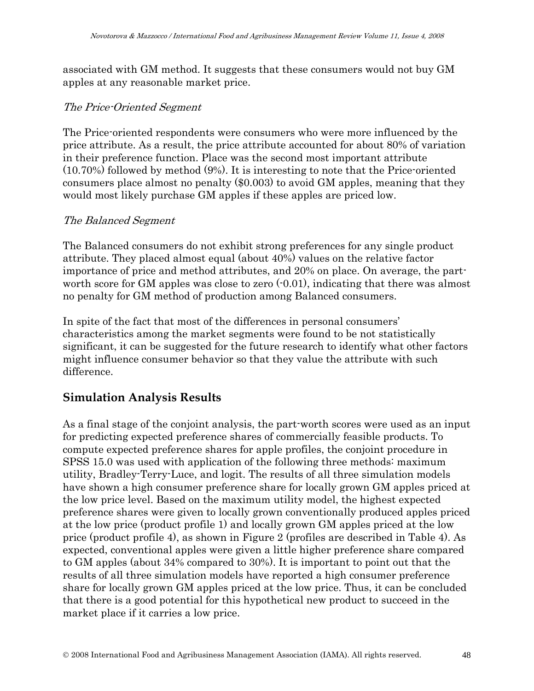associated with GM method. It suggests that these consumers would not buy GM apples at any reasonable market price.

#### The Price-Oriented Segment

The Price-oriented respondents were consumers who were more influenced by the price attribute. As a result, the price attribute accounted for about 80% of variation in their preference function. Place was the second most important attribute (10.70%) followed by method (9%). It is interesting to note that the Price-oriented consumers place almost no penalty (\$0.003) to avoid GM apples, meaning that they would most likely purchase GM apples if these apples are priced low.

#### The Balanced Segment

The Balanced consumers do not exhibit strong preferences for any single product attribute. They placed almost equal (about 40%) values on the relative factor importance of price and method attributes, and 20% on place. On average, the partworth score for GM apples was close to zero  $(0.01)$ , indicating that there was almost no penalty for GM method of production among Balanced consumers.

In spite of the fact that most of the differences in personal consumers' characteristics among the market segments were found to be not statistically significant, it can be suggested for the future research to identify what other factors might influence consumer behavior so that they value the attribute with such difference.

### **Simulation Analysis Results**

As a final stage of the conjoint analysis, the part-worth scores were used as an input for predicting expected preference shares of commercially feasible products. To compute expected preference shares for apple profiles, the conjoint procedure in SPSS 15.0 was used with application of the following three methods: maximum utility, Bradley-Terry-Luce, and logit. The results of all three simulation models have shown a high consumer preference share for locally grown GM apples priced at the low price level. Based on the maximum utility model, the highest expected preference shares were given to locally grown conventionally produced apples priced at the low price (product profile 1) and locally grown GM apples priced at the low price (product profile 4), as shown in Figure 2 (profiles are described in Table 4). As expected, conventional apples were given a little higher preference share compared to GM apples (about 34% compared to 30%). It is important to point out that the results of all three simulation models have reported a high consumer preference share for locally grown GM apples priced at the low price. Thus, it can be concluded that there is a good potential for this hypothetical new product to succeed in the market place if it carries a low price.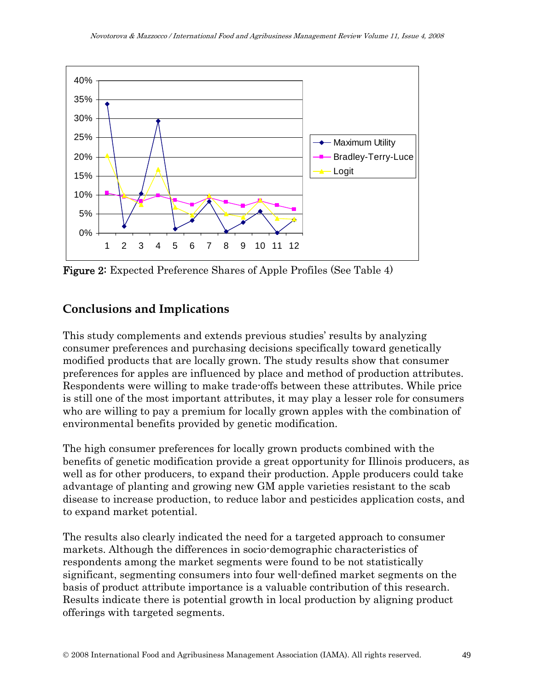

Figure 2: Expected Preference Shares of Apple Profiles (See Table 4)

### **Conclusions and Implications**

This study complements and extends previous studies' results by analyzing consumer preferences and purchasing decisions specifically toward genetically modified products that are locally grown. The study results show that consumer preferences for apples are influenced by place and method of production attributes. Respondents were willing to make trade-offs between these attributes. While price is still one of the most important attributes, it may play a lesser role for consumers who are willing to pay a premium for locally grown apples with the combination of environmental benefits provided by genetic modification.

The high consumer preferences for locally grown products combined with the benefits of genetic modification provide a great opportunity for Illinois producers, as well as for other producers, to expand their production. Apple producers could take advantage of planting and growing new GM apple varieties resistant to the scab disease to increase production, to reduce labor and pesticides application costs, and to expand market potential.

The results also clearly indicated the need for a targeted approach to consumer markets. Although the differences in socio-demographic characteristics of respondents among the market segments were found to be not statistically significant, segmenting consumers into four well-defined market segments on the basis of product attribute importance is a valuable contribution of this research. Results indicate there is potential growth in local production by aligning product offerings with targeted segments.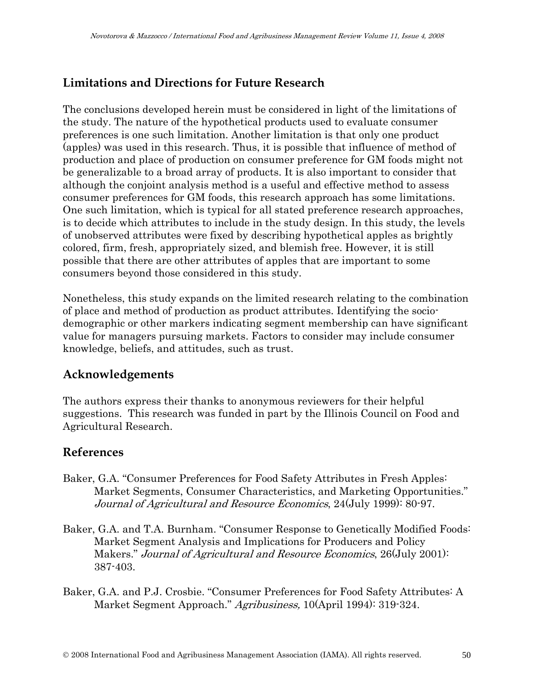### **Limitations and Directions for Future Research**

The conclusions developed herein must be considered in light of the limitations of the study. The nature of the hypothetical products used to evaluate consumer preferences is one such limitation. Another limitation is that only one product (apples) was used in this research. Thus, it is possible that influence of method of production and place of production on consumer preference for GM foods might not be generalizable to a broad array of products. It is also important to consider that although the conjoint analysis method is a useful and effective method to assess consumer preferences for GM foods, this research approach has some limitations. One such limitation, which is typical for all stated preference research approaches, is to decide which attributes to include in the study design. In this study, the levels of unobserved attributes were fixed by describing hypothetical apples as brightly colored, firm, fresh, appropriately sized, and blemish free. However, it is still possible that there are other attributes of apples that are important to some consumers beyond those considered in this study.

Nonetheless, this study expands on the limited research relating to the combination of place and method of production as product attributes. Identifying the sociodemographic or other markers indicating segment membership can have significant value for managers pursuing markets. Factors to consider may include consumer knowledge, beliefs, and attitudes, such as trust.

#### **Acknowledgements**

The authors express their thanks to anonymous reviewers for their helpful suggestions. This research was funded in part by the Illinois Council on Food and Agricultural Research.

#### **References**

- Baker, G.A. "Consumer Preferences for Food Safety Attributes in Fresh Apples: Market Segments, Consumer Characteristics, and Marketing Opportunities." Journal of Agricultural and Resource Economics, 24(July 1999): 80-97.
- Baker, G.A. and T.A. Burnham. "Consumer Response to Genetically Modified Foods: Market Segment Analysis and Implications for Producers and Policy Makers." Journal of Agricultural and Resource Economics, 26(July 2001): 387-403.
- Baker, G.A. and P.J. Crosbie. "Consumer Preferences for Food Safety Attributes: A Market Segment Approach." Agribusiness, 10(April 1994): 319-324.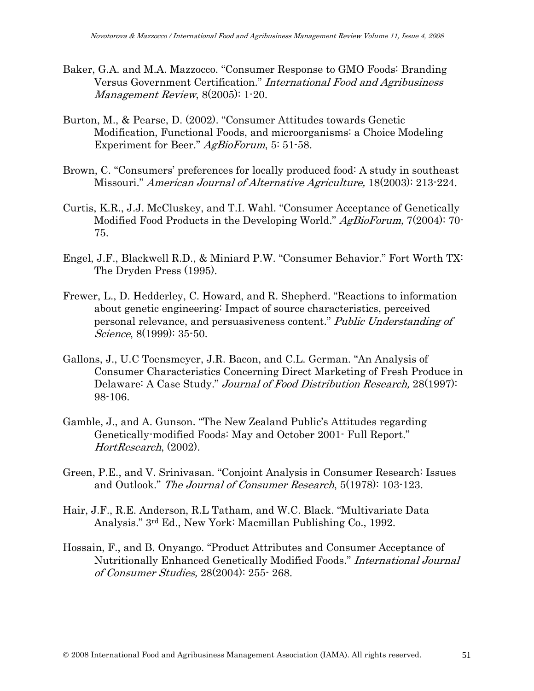- Baker, G.A. and M.A. Mazzocco. "Consumer Response to GMO Foods: Branding Versus Government Certification." International Food and Agribusiness Management Review, 8(2005): 1-20.
- Burton, M., & Pearse, D. (2002). "Consumer Attitudes towards Genetic Modification, Functional Foods, and microorganisms: a Choice Modeling Experiment for Beer." AgBioForum, 5: 51-58.
- Brown, C. "Consumers' preferences for locally produced food: A study in southeast Missouri." American Journal of Alternative Agriculture, 18(2003): 213-224.
- Curtis, K.R., J.J. McCluskey, and T.I. Wahl. "Consumer Acceptance of Genetically Modified Food Products in the Developing World." AgBioForum, 7(2004): 70-75.
- Engel, J.F., Blackwell R.D., & Miniard P.W. "Consumer Behavior." Fort Worth TX: The Dryden Press (1995).
- Frewer, L., D. Hedderley, C. Howard, and R. Shepherd. "Reactions to information about genetic engineering: Impact of source characteristics, perceived personal relevance, and persuasiveness content." Public Understanding of Science, 8(1999): 35-50.
- Gallons, J., U.C Toensmeyer, J.R. Bacon, and C.L. German. "An Analysis of Consumer Characteristics Concerning Direct Marketing of Fresh Produce in Delaware: A Case Study." *Journal of Food Distribution Research*, 28(1997): 98-106.
- Gamble, J., and A. Gunson. "The New Zealand Public's Attitudes regarding Genetically-modified Foods: May and October 2001- Full Report." HortResearch, (2002).
- Green, P.E., and V. Srinivasan. "Conjoint Analysis in Consumer Research: Issues and Outlook." The Journal of Consumer Research, 5(1978): 103-123.
- Hair, J.F., R.E. Anderson, R.L Tatham, and W.C. Black. "Multivariate Data Analysis." 3rd Ed., New York: Macmillan Publishing Co., 1992.
- Hossain, F., and B. Onyango. "Product Attributes and Consumer Acceptance of Nutritionally Enhanced Genetically Modified Foods." International Journal of Consumer Studies, 28(2004): 255- 268.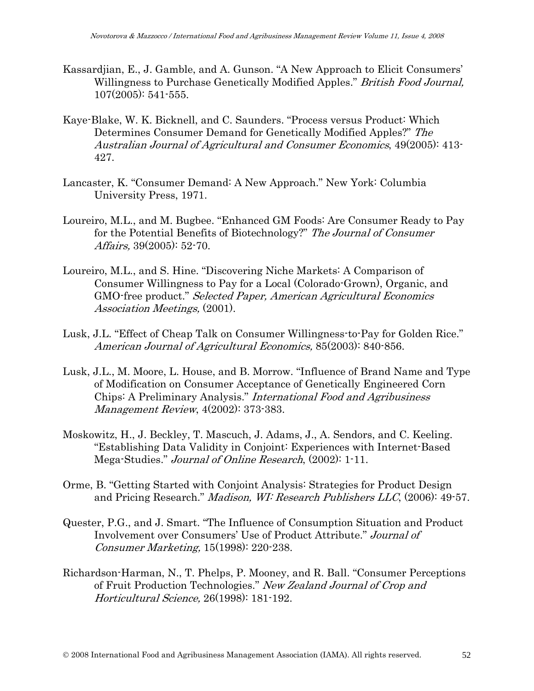- Kassardjian, E., J. Gamble, and A. Gunson. "A New Approach to Elicit Consumers' Willingness to Purchase Genetically Modified Apples." British Food Journal, 107(2005): 541-555.
- Kaye-Blake, W. K. Bicknell, and C. Saunders. "Process versus Product: Which Determines Consumer Demand for Genetically Modified Apples?" The Australian Journal of Agricultural and Consumer Economics, 49(2005): 413- 427.
- Lancaster, K. "Consumer Demand: A New Approach." New York: Columbia University Press, 1971.
- Loureiro, M.L., and M. Bugbee. "Enhanced GM Foods: Are Consumer Ready to Pay for the Potential Benefits of Biotechnology?" The Journal of Consumer Affairs, 39(2005): 52-70.
- Loureiro, M.L., and S. Hine. "Discovering Niche Markets: A Comparison of Consumer Willingness to Pay for a Local (Colorado-Grown), Organic, and GMO-free product." Selected Paper, American Agricultural Economics Association Meetings, (2001).
- Lusk, J.L. "Effect of Cheap Talk on Consumer Willingness-to-Pay for Golden Rice." American Journal of Agricultural Economics, 85(2003): 840-856.
- Lusk, J.L., M. Moore, L. House, and B. Morrow. "Influence of Brand Name and Type of Modification on Consumer Acceptance of Genetically Engineered Corn Chips: A Preliminary Analysis." International Food and Agribusiness Management Review, 4(2002): 373-383.
- Moskowitz, H., J. Beckley, T. Mascuch, J. Adams, J., A. Sendors, and C. Keeling. "Establishing Data Validity in Conjoint: Experiences with Internet-Based Mega-Studies." Journal of Online Research, (2002): 1-11.
- Orme, B. "Getting Started with Conjoint Analysis: Strategies for Product Design and Pricing Research." Madison, WI: Research Publishers LLC, (2006): 49-57.
- Quester, P.G., and J. Smart. "The Influence of Consumption Situation and Product Involvement over Consumers' Use of Product Attribute." Journal of Consumer Marketing, 15(1998): 220-238.
- Richardson-Harman, N., T. Phelps, P. Mooney, and R. Ball. "Consumer Perceptions of Fruit Production Technologies." New Zealand Journal of Crop and Horticultural Science, 26(1998): 181-192.